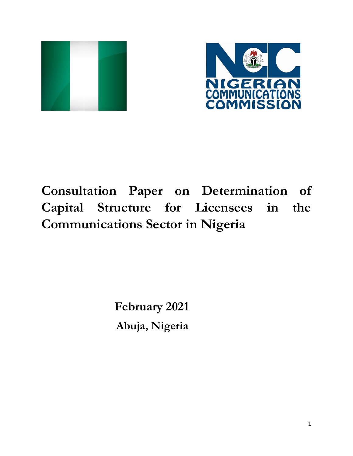



# **Consultation Paper on Determination of Capital Structure for Licensees in the Communications Sector in Nigeria**

 **February 2021 Abuja, Nigeria**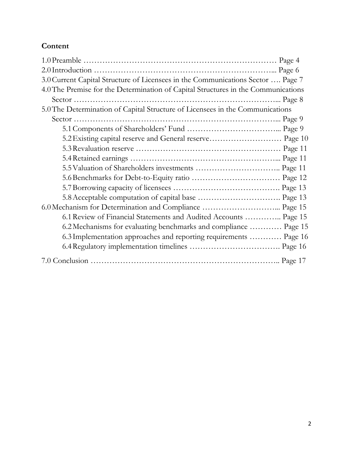# **Content**

| 3.0 Current Capital Structure of Licensees in the Communications Sector  Page 7   |  |
|-----------------------------------------------------------------------------------|--|
| 4.0 The Premise for the Determination of Capital Structures in the Communications |  |
|                                                                                   |  |
| 5.0 The Determination of Capital Structure of Licensees in the Communications     |  |
|                                                                                   |  |
|                                                                                   |  |
| 5.2 Existing capital reserve and General reserve Page 10                          |  |
|                                                                                   |  |
|                                                                                   |  |
|                                                                                   |  |
|                                                                                   |  |
|                                                                                   |  |
|                                                                                   |  |
| 6.0 Mechanism for Determination and Compliance  Page 15                           |  |
| 6.1 Review of Financial Statements and Audited Accounts  Page 15                  |  |
| 6.2 Mechanisms for evaluating benchmarks and compliance  Page 15                  |  |
| 6.3 Implementation approaches and reporting requirements  Page 16                 |  |
|                                                                                   |  |
|                                                                                   |  |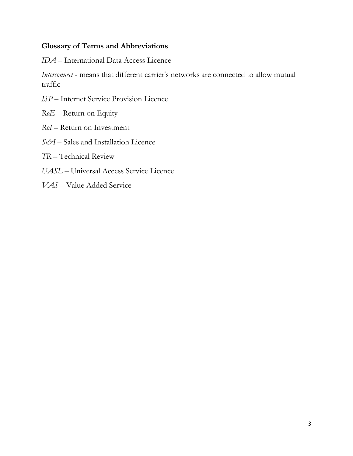#### **Glossary of Terms and Abbreviations**

*IDA* – International Data Access Licence

*Interconnect* - means that different carrier's networks are connected to allow mutual traffic

- *ISP*  Internet Service Provision Licence
- *RoE* Return on Equity
- *RoI*  Return on Investment
- *S&I –* Sales and Installation Licence
- *TR*  Technical Review
- *UASL* Universal Access Service Licence
- *VAS* Value Added Service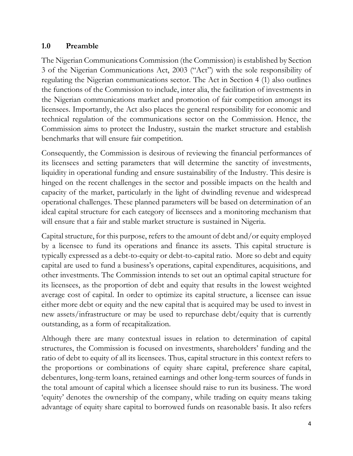#### **1.0 Preamble**

The Nigerian Communications Commission (the Commission) is established by Section 3 of the Nigerian Communications Act, 2003 ("Act") with the sole responsibility of regulating the Nigerian communications sector. The Act in Section 4 (1) also outlines the functions of the Commission to include, inter alia, the facilitation of investments in the Nigerian communications market and promotion of fair competition amongst its licensees. Importantly, the Act also places the general responsibility for economic and technical regulation of the communications sector on the Commission. Hence, the Commission aims to protect the Industry, sustain the market structure and establish benchmarks that will ensure fair competition.

Consequently, the Commission is desirous of reviewing the financial performances of its licensees and setting parameters that will determine the sanctity of investments, liquidity in operational funding and ensure sustainability of the Industry. This desire is hinged on the recent challenges in the sector and possible impacts on the health and capacity of the market, particularly in the light of dwindling revenue and widespread operational challenges. These planned parameters will be based on determination of an ideal capital structure for each category of licensees and a monitoring mechanism that will ensure that a fair and stable market structure is sustained in Nigeria.

Capital structure, for this purpose, refers to the amount of debt and/or equity employed by a licensee to fund its operations and finance its assets. This capital structure is typically expressed as a debt-to-equity or debt-to-capital ratio. More so debt and equity capital are used to fund a business's operations, capital expenditures, acquisitions, and other investments. The Commission intends to set out an optimal capital structure for its licensees, as the proportion of debt and equity that results in the lowest weighted average cost of capital. In order to optimize its capital structure, a licensee can issue either more debt or equity and the new capital that is acquired may be used to invest in new assets/infrastructure or may be used to repurchase debt/equity that is currently outstanding, as a form of recapitalization.

Although there are many contextual issues in relation to determination of capital structures, the Commission is focused on investments, shareholders' funding and the ratio of debt to equity of all its licensees. Thus, capital structure in this context refers to the proportions or combinations of equity share capital, preference share capital, debentures, long-term loans, retained earnings and other long-term sources of funds in the total amount of capital which a licensee should raise to run its business. The word 'equity' denotes the ownership of the company, while trading on equity means taking advantage of equity share capital to borrowed funds on reasonable basis. It also refers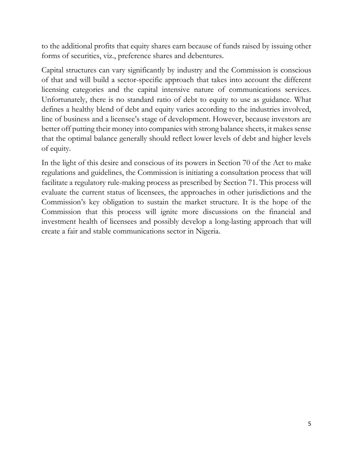to the additional profits that equity shares earn because of funds raised by issuing other forms of securities, viz., preference shares and debentures.

Capital structures can vary significantly by industry and the Commission is conscious of that and will build a sector-specific approach that takes into account the different licensing categories and the capital intensive nature of communications services. Unfortunately, there is no standard ratio of debt to equity to use as guidance. What defines a healthy blend of debt and equity varies according to the industries involved, line of business and a licensee's stage of development. However, because investors are better off putting their money into companies with strong balance sheets, it makes sense that the optimal balance generally should reflect lower levels of debt and higher levels of equity.

In the light of this desire and conscious of its powers in Section 70 of the Act to make regulations and guidelines, the Commission is initiating a consultation process that will facilitate a regulatory rule-making process as prescribed by Section 71. This process will evaluate the current status of licensees, the approaches in other jurisdictions and the Commission's key obligation to sustain the market structure. It is the hope of the Commission that this process will ignite more discussions on the financial and investment health of licensees and possibly develop a long-lasting approach that will create a fair and stable communications sector in Nigeria.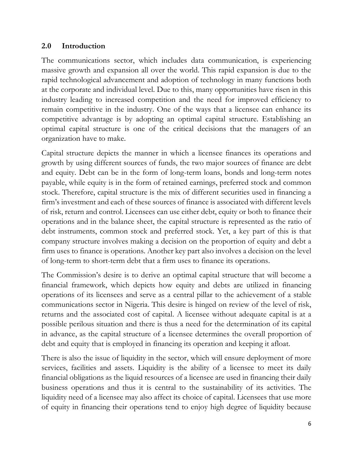#### **2.0 Introduction**

The communications sector, which includes data communication, is experiencing massive growth and expansion all over the world. This rapid expansion is due to the rapid technological advancement and adoption of technology in many functions both at the corporate and individual level. Due to this, many opportunities have risen in this industry leading to increased competition and the need for improved efficiency to remain competitive in the industry. One of the ways that a licensee can enhance its competitive advantage is by adopting an optimal capital structure. Establishing an optimal capital structure is one of the critical decisions that the managers of an organization have to make.

Capital structure depicts the manner in which a licensee finances its operations and growth by using different sources of funds, the two major sources of finance are debt and equity. Debt can be in the form of long-term loans, bonds and long-term notes payable, while equity is in the form of retained earnings, preferred stock and common stock. Therefore, capital structure is the mix of different securities used in financing a firm's investment and each of these sources of finance is associated with different levels of risk, return and control. Licensees can use either debt, equity or both to finance their operations and in the balance sheet, the capital structure is represented as the ratio of debt instruments, common stock and preferred stock. Yet, a key part of this is that company structure involves making a decision on the proportion of equity and debt a firm uses to finance is operations. Another key part also involves a decision on the level of long-term to short-term debt that a firm uses to finance its operations.

The Commission's desire is to derive an optimal capital structure that will become a financial framework, which depicts how equity and debts are utilized in financing operations of its licensees and serve as a central pillar to the achievement of a stable communications sector in Nigeria. This desire is hinged on review of the level of risk, returns and the associated cost of capital. A licensee without adequate capital is at a possible perilous situation and there is thus a need for the determination of its capital in advance, as the capital structure of a licensee determines the overall proportion of debt and equity that is employed in financing its operation and keeping it afloat.

There is also the issue of liquidity in the sector, which will ensure deployment of more services, facilities and assets. Liquidity is the ability of a licensee to meet its daily financial obligations as the liquid resources of a licensee are used in financing their daily business operations and thus it is central to the sustainability of its activities. The liquidity need of a licensee may also affect its choice of capital. Licensees that use more of equity in financing their operations tend to enjoy high degree of liquidity because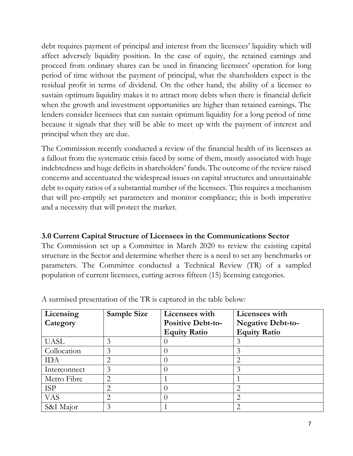debt requires payment of principal and interest from the licensees' liquidity which will affect adversely liquidity position. In the case of equity, the retained earnings and proceed from ordinary shares can be used in financing licensees' operation for long period of time without the payment of principal, what the shareholders expect is the residual profit in terms of dividend. On the other hand, the ability of a licensee to sustain optimum liquidity makes it to attract more debts when there is financial deficit when the growth and investment opportunities are higher than retained earnings. The lenders consider licensees that can sustain optimum liquidity for a long period of time because it signals that they will be able to meet up with the payment of interest and principal when they are due.

The Commission recently conducted a review of the financial health of its licensees as a fallout from the systematic crisis faced by some of them, mostly associated with huge indebtedness and huge deficits in shareholders' funds. The outcome of the review raised concerns and accentuated the widespread issues on capital structures and unsustainable debt to equity ratios of a substantial number of the licensees. This requires a mechanism that will pre-emptily set parameters and monitor compliance; this is both imperative and a necessity that will protect the market.

#### **3.0 Current Capital Structure of Licensees in the Communications Sector**

The Commission set up a Committee in March 2020 to review the existing capital structure in the Sector and determine whether there is a need to set any benchmarks or parameters. The Committee conducted a Technical Review (TR) of a sampled population of current licensees, cutting across fifteen (15) licensing categories.

| Licensing    | <b>Sample Size</b> | Licensees with           | Licensees with           |
|--------------|--------------------|--------------------------|--------------------------|
| Category     |                    | <b>Positive Debt-to-</b> | <b>Negative Debt-to-</b> |
|              |                    | <b>Equity Ratio</b>      | <b>Equity Ratio</b>      |
| <b>UASL</b>  | 3                  |                          | 3                        |
| Collocation  | 3                  |                          | 3                        |
| <b>IDA</b>   |                    |                          | $\overline{2}$           |
| Interconnect | 3                  |                          | 3                        |
| Metro Fibre  | $\mathcal{D}$      |                          |                          |
| <b>ISP</b>   | ◠                  |                          | $\overline{2}$           |
| <b>VAS</b>   |                    |                          | 2                        |
| S&I Major    |                    |                          | 2                        |

A surmised presentation of the TR is captured in the table below: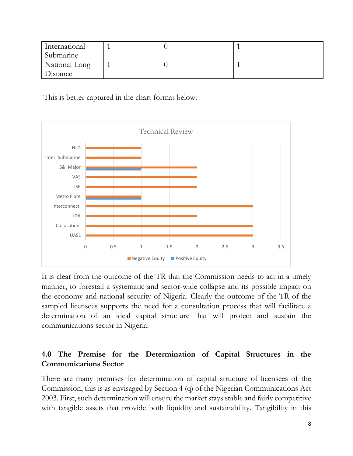| International |  |  |
|---------------|--|--|
| Submarine     |  |  |
| National Long |  |  |
| Distance      |  |  |

This is better captured in the chart format below:



It is clear from the outcome of the TR that the Commission needs to act in a timely manner, to forestall a systematic and sector-wide collapse and its possible impact on the economy and national security of Nigeria. Clearly the outcome of the TR of the sampled licensees supports the need for a consultation process that will facilitate a determination of an ideal capital structure that will protect and sustain the communications sector in Nigeria.

## **4.0 The Premise for the Determination of Capital Structures in the Communications Sector**

There are many premises for determination of capital structure of licensees of the Commission, this is as envisaged by Section 4 (q) of the Nigerian Communications Act 2003. First, such determination will ensure the market stays stable and fairly competitive with tangible assets that provide both liquidity and sustainability. Tangibility in this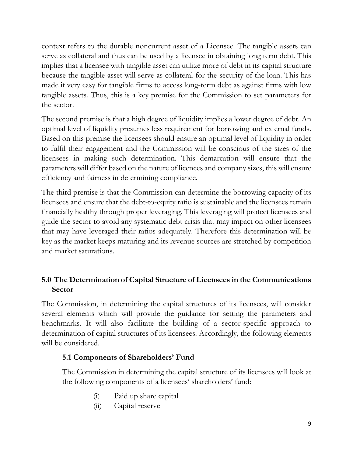context refers to the durable noncurrent asset of a Licensee. The tangible assets can serve as collateral and thus can be used by a licensee in obtaining long term debt. This implies that a licensee with tangible asset can utilize more of debt in its capital structure because the tangible asset will serve as collateral for the security of the loan. This has made it very easy for tangible firms to access long-term debt as against firms with low tangible assets. Thus, this is a key premise for the Commission to set parameters for the sector.

The second premise is that a high degree of liquidity implies a lower degree of debt. An optimal level of liquidity presumes less requirement for borrowing and external funds. Based on this premise the licensees should ensure an optimal level of liquidity in order to fulfil their engagement and the Commission will be conscious of the sizes of the licensees in making such determination. This demarcation will ensure that the parameters will differ based on the nature of licences and company sizes, this will ensure efficiency and fairness in determining compliance.

The third premise is that the Commission can determine the borrowing capacity of its licensees and ensure that the debt-to-equity ratio is sustainable and the licensees remain financially healthy through proper leveraging. This leveraging will protect licensees and guide the sector to avoid any systematic debt crisis that may impact on other licensees that may have leveraged their ratios adequately. Therefore this determination will be key as the market keeps maturing and its revenue sources are stretched by competition and market saturations.

# **5.0 The Determination of Capital Structure of Licensees in the Communications Sector**

The Commission, in determining the capital structures of its licensees, will consider several elements which will provide the guidance for setting the parameters and benchmarks. It will also facilitate the building of a sector-specific approach to determination of capital structures of its licensees. Accordingly, the following elements will be considered.

## **5.1 Components of Shareholders' Fund**

The Commission in determining the capital structure of its licensees will look at the following components of a licensees' shareholders' fund:

- (i) Paid up share capital
- (ii) Capital reserve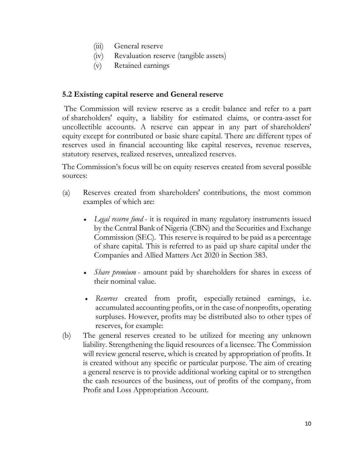- (iii) General reserve
- (iv) Revaluation reserve (tangible assets)
- (v) Retained earnings

#### **5.2 Existing capital reserve and General reserve**

The Commission will review reserve as a credit balance and refer to a part of [shareholders' equity,](about:blank) a liability for estimated claims, or contra-asset for uncollectible accounts. A reserve can appear in any part of shareholders' equity except for contributed or basic share capital. There are different types of reserves used in financial accounting like capital reserves, revenue reserves, statutory reserves, realized reserves, unrealized reserves.

The Commission's focus will be on equity reserves created from several possible sources:

- (a) Reserves created from shareholders' contributions, the most common examples of which are:
	- *Legal reserve fund* it is required in many regulatory instruments issued by the Central Bank of Nigeria (CBN) and the Securities and Exchange Commission (SEC). This reserve is required to be paid as a percentage of share capital. This is referred to as paid up share capital under the Companies and Allied Matters Act 2020 in Section 383.
	- *Share premium* amount paid by shareholders for shares in excess of their nominal value.
	- *Reserves* created from profit, especially retained earnings, i.e. accumulated accounting profits, or in the case of nonprofits, operating surpluses. However, profits may be distributed also to other types of reserves, for example:
- (b) The general reserves created to be utilized for meeting any unknown liability. Strengthening the liquid resources of a licensee. The Commission will review general reserve, which is created by appropriation of profits. It is created without any specific or particular purpose. The aim of creating a general reserve is to provide additional working capital or to strengthen the cash resources of the business, out of profits of the company, from Profit and Loss Appropriation Account.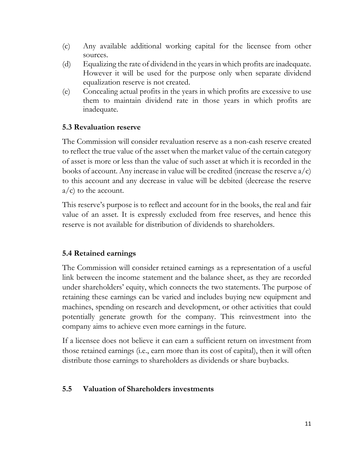- (c) Any available additional working capital for the licensee from other sources.
- (d) Equalizing the rate of dividend in the years in which profits are inadequate. However it will be used for the purpose only when separate dividend equalization reserve is not created.
- (e) Concealing actual profits in the years in which profits are excessive to use them to maintain dividend rate in those years in which profits are inadequate.

#### **5.3 Revaluation reserve**

The Commission will consider revaluation reserve as a non-cash reserve created to reflect the true value of the asset when the market value of the certain category of asset is more or less than the value of such asset at which it is recorded in the books of account. Any increase in value will be credited (increase the reserve  $a/c$ ) to this account and any decrease in value will be debited (decrease the reserve  $a/c$ ) to the account.

This reserve's purpose is to reflect and account for in the books, the real and fair value of an asset. It is expressly excluded from free reserves, and hence this reserve is not available for distribution of dividends to shareholders.

#### **5.4 Retained earnings**

The Commission will consider retained earnings as a representation of a useful link between the income statement and the balance sheet, as they are recorded under shareholders' equity, which connects the two statements. The purpose of retaining these earnings can be varied and includes buying new equipment and machines, spending on research and development, or other activities that could potentially generate growth for the company. This reinvestment into the company aims to achieve even more earnings in the future.

If a licensee does not believe it can earn a sufficient return on investment from those retained earnings (i.e., earn more than its cost of capital), then it will often distribute those earnings to shareholders as dividends or share buybacks.

#### **5.5 Valuation of Shareholders investments**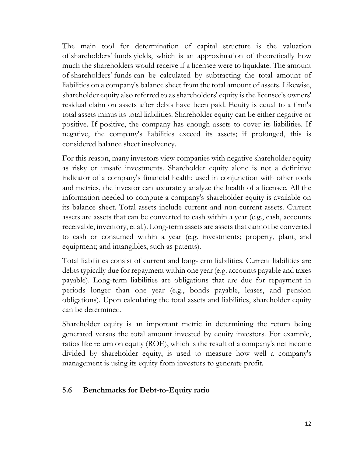The main tool for determination of capital structure is the valuation of shareholders' funds yields, which is an approximation of theoretically how much the shareholders would receive if a licensee were to liquidate. The amount of shareholders' funds can be calculated by subtracting the total amount of liabilities on a company's balance sheet from the total amount of assets. Likewise, shareholder equity also referred to as shareholders' equity is the licensee's owners' residual claim on assets after debts have been paid. Equity is equal to a firm's total assets minus its total liabilities. Shareholder equity can be either negative or positive. If positive, the company has enough assets to cover its liabilities. If negative, the company's liabilities exceed its assets; if prolonged, this is considered balance sheet insolvency.

For this reason, many investors view companies with negative shareholder equity as risky or unsafe investments. Shareholder equity alone is not a definitive indicator of a company's financial health; used in conjunction with other tools and metrics, the investor can accurately analyze the health of a licensee. All the information needed to compute a company's shareholder equity is available on its balance sheet. Total assets include current and non-current assets. Current assets are assets that can be converted to cash within a year (e.g., cash, accounts receivable, inventory, et al.). Long-term assets are assets that cannot be converted to cash or consumed within a year (e.g. investments; property, plant, and equipment; and intangibles, such as patents).

Total liabilities consist of current and long-term liabilities. Current liabilities are debts typically due for repayment within one year (e.g. accounts payable and taxes payable). Long-term liabilities are obligations that are due for repayment in periods longer than one year (e.g., bonds payable, leases, and pension obligations). Upon calculating the total assets and liabilities, shareholder equity can be determined.

Shareholder equity is an important metric in determining the return being generated versus the total amount invested by equity investors. For example, ratios like return on equity (ROE), which is the result of a company's net income divided by shareholder equity, is used to measure how well a company's management is using its equity from investors to generate profit.

#### **5.6 Benchmarks for Debt-to-Equity ratio**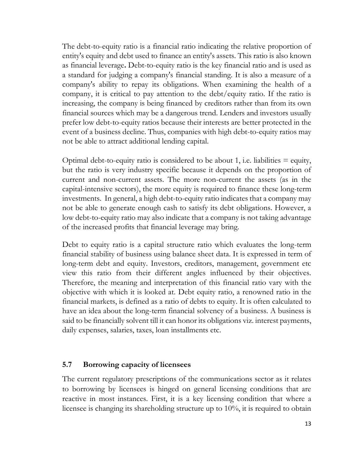The debt-to-equity ratio is a financial ratio indicating the relative proportion of entity's equity and debt used to finance an entity's assets. This ratio is also known as financial leverage**.** Debt-to-equity ratio is the key financial ratio and is used as a standard for judging a company's financial standing. It is also a measure of a company's ability to repay its obligations. When examining the health of a company, it is critical to pay attention to the debt/equity ratio. If the ratio is increasing, the company is being financed by creditors rather than from its own financial sources which may be a dangerous trend. Lenders and investors usually prefer low debt-to-equity ratios because their interests are better protected in the event of a business decline. Thus, companies with high debt-to-equity ratios may not be able to attract additional lending capital.

Optimal debt-to-equity ratio is considered to be about 1, i.e. liabilities  $=$  equity, but the ratio is very industry specific because it depends on the proportion of current and non-current assets. The more non-current the assets (as in the capital-intensive sectors), the more equity is required to finance these long-term investments. In general, a high debt-to-equity ratio indicates that a company may not be able to generate enough cash to satisfy its debt obligations. However, a low debt-to-equity ratio may also indicate that a company is not taking advantage of the increased profits that financial leverage may bring.

Debt to equity ratio is a capital structure ratio which evaluates the long-term financial stability of business using balance sheet data. It is expressed in term of long-term debt and equity. Investors, creditors, management, government etc view this ratio from their different angles influenced by their objectives. Therefore, the meaning and interpretation of this financial ratio vary with the objective with which it is looked at. Debt equity ratio, a renowned ratio in the financial markets, is defined as a ratio of debts to equity. It is often calculated to have an idea about the long-term financial solvency of a business. A business is said to be financially solvent till it can honor its obligations viz. interest payments, daily expenses, salaries, taxes, loan installments etc.

#### **5.7 Borrowing capacity of licensees**

The current regulatory prescriptions of the communications sector as it relates to borrowing by licensees is hinged on general licensing conditions that are reactive in most instances. First, it is a key licensing condition that where a licensee is changing its shareholding structure up to 10%, it is required to obtain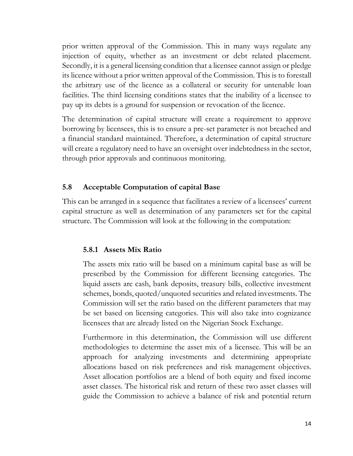prior written approval of the Commission. This in many ways regulate any injection of equity, whether as an investment or debt related placement. Secondly, it is a general licensing condition that a licensee cannot assign or pledge its licence without a prior written approval of the Commission. This is to forestall the arbitrary use of the licence as a collateral or security for untenable loan facilities. The third licensing conditions states that the inability of a licensee to pay up its debts is a ground for suspension or revocation of the licence.

The determination of capital structure will create a requirement to approve borrowing by licensees, this is to ensure a pre-set parameter is not breached and a financial standard maintained. Therefore, a determination of capital structure will create a regulatory need to have an oversight over indebtedness in the sector, through prior approvals and continuous monitoring.

#### **5.8 Acceptable Computation of capital Base**

This can be arranged in a sequence that facilitates a review of a licensees' current capital structure as well as determination of any parameters set for the capital structure. The Commission will look at the following in the computation:

#### **5.8.1 Assets Mix Ratio**

The assets mix ratio will be based on a minimum capital base as will be prescribed by the Commission for different licensing categories. The liquid assets are cash, bank deposits, treasury bills, collective investment schemes, bonds, quoted/unquoted securities and related investments. The Commission will set the ratio based on the different parameters that may be set based on licensing categories. This will also take into cognizance licensees that are already listed on the Nigerian Stock Exchange.

Furthermore in this determination, the Commission will use different methodologies to determine the asset mix of a licensee. This will be an approach for analyzing investments and determining appropriate allocations based on risk preferences and risk management objectives. Asset allocation portfolios are a blend of both equity and fixed income asset classes. The historical risk and return of these two asset classes will guide the Commission to achieve a balance of risk and potential return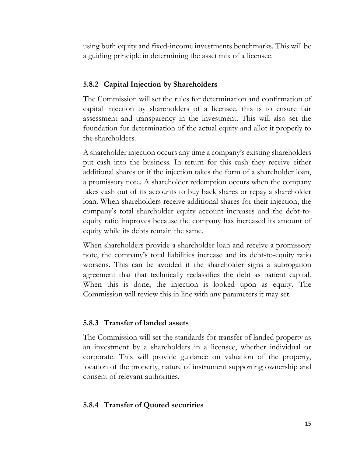using both equity and fixed-income investments benchmarks. This will be a guiding principle in determining the asset mix of a licensee.

#### **5.8.2 Capital Injection by Shareholders**

The Commission will set the rules for determination and confirmation of capital injection by shareholders of a licensee, this is to ensure fair assessment and transparency in the investment. This will also set the foundation for determination of the actual equity and allot it properly to the shareholders.

A shareholder injection occurs any time a company's existing shareholders put cash into the business. In return for this cash they receive either additional shares or if the injection takes the form of a shareholder loan, a promissory note. A shareholder redemption occurs when the company takes cash out of its accounts to buy back shares or repay a shareholder loan. When shareholders receive additional shares for their injection, the company's total shareholder equity account increases and the debt-toequity ratio improves because the company has increased its amount of equity while its debts remain the same.

When shareholders provide a shareholder loan and receive a promissory note, the company's total liabilities increase and its debt-to-equity ratio worsens. This can be avoided if the shareholder signs a subrogation agreement that that technically reclassifies the debt as patient capital. When this is done, the injection is looked upon as equity. The Commission will review this in line with any parameters it may set.

#### **5.8.3 Transfer of landed assets**

The Commission will set the standards for transfer of landed property as an investment by a shareholders in a licensee, whether individual or corporate. This will provide guidance on valuation of the property, location of the property, nature of instrument supporting ownership and consent of relevant authorities.

#### **5.8.4 Transfer of Quoted securities**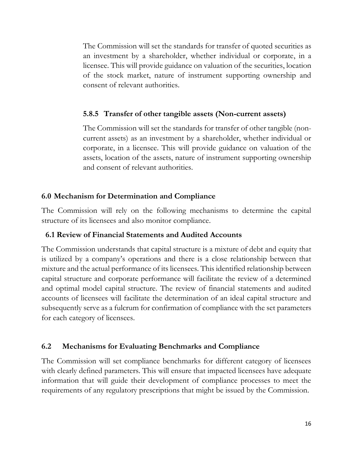The Commission will set the standards for transfer of quoted securities as an investment by a shareholder, whether individual or corporate, in a licensee. This will provide guidance on valuation of the securities, location of the stock market, nature of instrument supporting ownership and consent of relevant authorities.

#### **5.8.5 Transfer of other tangible assets (Non-current assets)**

The Commission will set the standards for transfer of other tangible (noncurrent assets) as an investment by a shareholder, whether individual or corporate, in a licensee. This will provide guidance on valuation of the assets, location of the assets, nature of instrument supporting ownership and consent of relevant authorities.

#### **6.0 Mechanism for Determination and Compliance**

The Commission will rely on the following mechanisms to determine the capital structure of its licensees and also monitor compliance.

#### **6.1 Review of Financial Statements and Audited Accounts**

The Commission understands that capital structure is a mixture of debt and equity that is utilized by a company's operations and there is a close relationship between that mixture and the actual performance of its licensees. This identified relationship between capital structure and corporate performance will facilitate the review of a determined and optimal model capital structure. The review of financial statements and audited accounts of licensees will facilitate the determination of an ideal capital structure and subsequently serve as a fulcrum for confirmation of compliance with the set parameters for each category of licensees.

#### **6.2 Mechanisms for Evaluating Benchmarks and Compliance**

The Commission will set compliance benchmarks for different category of licensees with clearly defined parameters. This will ensure that impacted licensees have adequate information that will guide their development of compliance processes to meet the requirements of any regulatory prescriptions that might be issued by the Commission.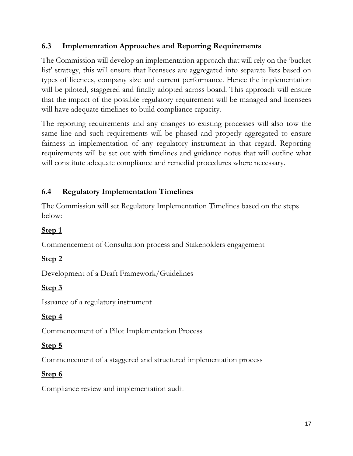## **6.3 Implementation Approaches and Reporting Requirements**

The Commission will develop an implementation approach that will rely on the 'bucket list' strategy, this will ensure that licensees are aggregated into separate lists based on types of licences, company size and current performance. Hence the implementation will be piloted, staggered and finally adopted across board. This approach will ensure that the impact of the possible regulatory requirement will be managed and licensees will have adequate timelines to build compliance capacity.

The reporting requirements and any changes to existing processes will also tow the same line and such requirements will be phased and properly aggregated to ensure fairness in implementation of any regulatory instrument in that regard. Reporting requirements will be set out with timelines and guidance notes that will outline what will constitute adequate compliance and remedial procedures where necessary.

## **6.4 Regulatory Implementation Timelines**

The Commission will set Regulatory Implementation Timelines based on the steps below:

# **Step 1**

Commencement of Consultation process and Stakeholders engagement

## **Step 2**

Development of a Draft Framework/Guidelines

# **Step 3**

Issuance of a regulatory instrument

## **Step 4**

Commencement of a Pilot Implementation Process

# **Step 5**

Commencement of a staggered and structured implementation process

# **Step 6**

Compliance review and implementation audit